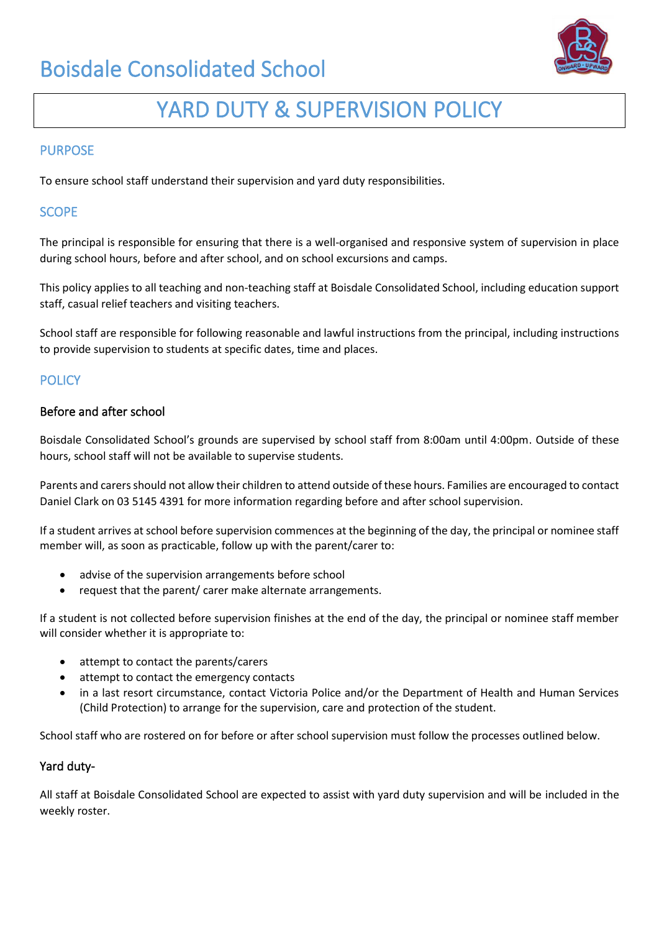# Boisdale Consolidated School



# YARD DUTY & SUPERVISION POLICY

#### **PURPOSE**

To ensure school staff understand their supervision and yard duty responsibilities.

### **SCOPE**

The principal is responsible for ensuring that there is a well-organised and responsive system of supervision in place during school hours, before and after school, and on school excursions and camps.

This policy applies to all teaching and non-teaching staff at Boisdale Consolidated School, including education support staff, casual relief teachers and visiting teachers.

School staff are responsible for following reasonable and lawful instructions from the principal, including instructions to provide supervision to students at specific dates, time and places.

### **POLICY**

#### Before and after school

Boisdale Consolidated School's grounds are supervised by school staff from 8:00am until 4:00pm. Outside of these hours, school staff will not be available to supervise students.

Parents and carers should not allow their children to attend outside of these hours. Families are encouraged to contact Daniel Clark on 03 5145 4391 for more information regarding before and after school supervision.

If a student arrives at school before supervision commences at the beginning of the day, the principal or nominee staff member will, as soon as practicable, follow up with the parent/carer to:

- advise of the supervision arrangements before school
- request that the parent/ carer make alternate arrangements.

If a student is not collected before supervision finishes at the end of the day, the principal or nominee staff member will consider whether it is appropriate to:

- attempt to contact the parents/carers
- attempt to contact the emergency contacts
- in a last resort circumstance, contact Victoria Police and/or the Department of Health and Human Services (Child Protection) to arrange for the supervision, care and protection of the student.

School staff who are rostered on for before or after school supervision must follow the processes outlined below.

#### Yard duty-

All staff at Boisdale Consolidated School are expected to assist with yard duty supervision and will be included in the weekly roster.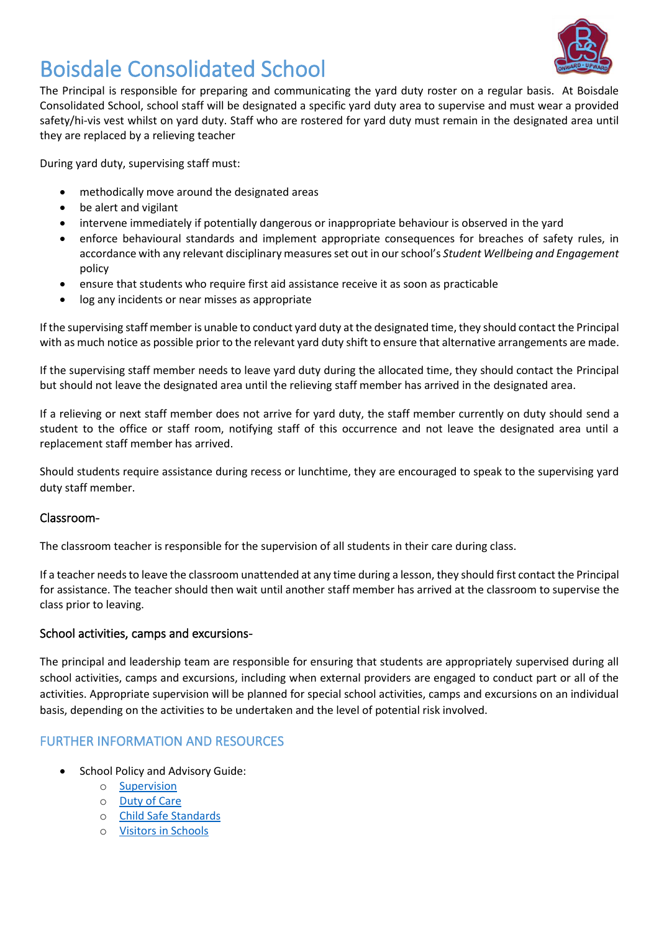

# Boisdale Consolidated School

The Principal is responsible for preparing and communicating the yard duty roster on a regular basis. At Boisdale Consolidated School, school staff will be designated a specific yard duty area to supervise and must wear a provided safety/hi-vis vest whilst on yard duty. Staff who are rostered for yard duty must remain in the designated area until they are replaced by a relieving teacher

During yard duty, supervising staff must:

- methodically move around the designated areas
- be alert and vigilant
- intervene immediately if potentially dangerous or inappropriate behaviour is observed in the yard
- enforce behavioural standards and implement appropriate consequences for breaches of safety rules, in accordance with any relevant disciplinary measures set out in our school's *Student Wellbeing and Engagement* policy
- ensure that students who require first aid assistance receive it as soon as practicable
- log any incidents or near misses as appropriate

If the supervising staff member is unable to conduct yard duty at the designated time, they should contact the Principal with as much notice as possible prior to the relevant yard duty shift to ensure that alternative arrangements are made.

If the supervising staff member needs to leave yard duty during the allocated time, they should contact the Principal but should not leave the designated area until the relieving staff member has arrived in the designated area.

If a relieving or next staff member does not arrive for yard duty, the staff member currently on duty should send a student to the office or staff room, notifying staff of this occurrence and not leave the designated area until a replacement staff member has arrived.

Should students require assistance during recess or lunchtime, they are encouraged to speak to the supervising yard duty staff member.

#### Classroom-

The classroom teacher is responsible for the supervision of all students in their care during class.

If a teacher needs to leave the classroom unattended at any time during a lesson, they should first contact the Principal for assistance. The teacher should then wait until another staff member has arrived at the classroom to supervise the class prior to leaving.

#### School activities, camps and excursions-

The principal and leadership team are responsible for ensuring that students are appropriately supervised during all school activities, camps and excursions, including when external providers are engaged to conduct part or all of the activities. Appropriate supervision will be planned for special school activities, camps and excursions on an individual basis, depending on the activities to be undertaken and the level of potential risk involved.

### FURTHER INFORMATION AND RESOURCES

- School Policy and Advisory Guide:
	- o [Supervision](http://www.education.vic.gov.au/school/principals/spag/safety/pages/supervision.aspx)
	- o [Duty of Care](http://www.education.vic.gov.au/school/principals/spag/safety/Pages/dutyofcare.aspx)
	- o [Child Safe Standards](http://www.education.vic.gov.au/school/principals/spag/safety/Pages/childsafestandards.aspx)
	- o [Visitors in Schools](http://www.education.vic.gov.au/school/principals/spag/safety/Pages/visitorsinschool.aspx)